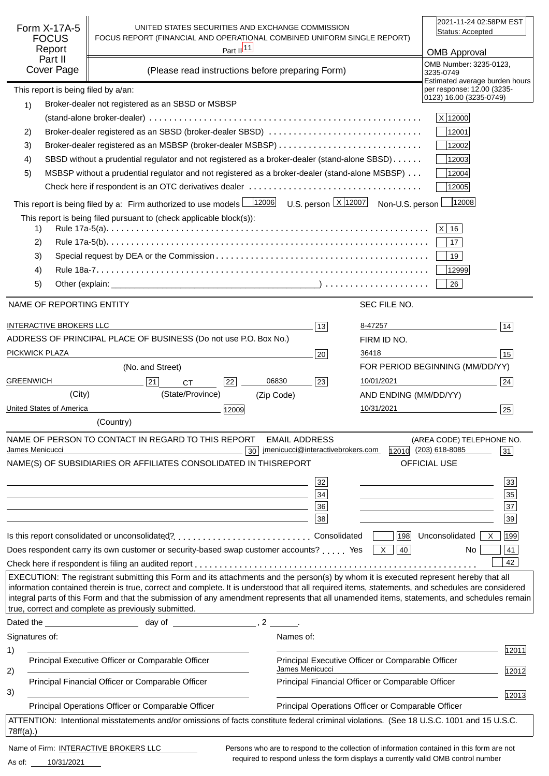| Form X-17A-5<br><b>FOCUS</b><br>Report<br>Part II<br>Cover Page | UNITED STATES SECURITIES AND EXCHANGE COMMISSION<br>FOCUS REPORT (FINANCIAL AND OPERATIONAL COMBINED UNIFORM SINGLE REPORT)                                                                                                                                                                                                                                                                                                                                                                   | Part $\frac{ 11 }{ }$<br>(Please read instructions before preparing Form) |                                                    |                                                    | 2021-11-24 02:58PM EST<br>Status: Accepted<br><b>OMB Approval</b><br>OMB Number: 3235-0123,<br>3235-0749 |       |
|-----------------------------------------------------------------|-----------------------------------------------------------------------------------------------------------------------------------------------------------------------------------------------------------------------------------------------------------------------------------------------------------------------------------------------------------------------------------------------------------------------------------------------------------------------------------------------|---------------------------------------------------------------------------|----------------------------------------------------|----------------------------------------------------|----------------------------------------------------------------------------------------------------------|-------|
| This report is being filed by a/an:                             |                                                                                                                                                                                                                                                                                                                                                                                                                                                                                               |                                                                           |                                                    |                                                    | Estimated average burden hours<br>per response: 12.00 (3235-                                             |       |
| 1)                                                              | Broker-dealer not registered as an SBSD or MSBSP                                                                                                                                                                                                                                                                                                                                                                                                                                              |                                                                           |                                                    |                                                    | 0123) 16.00 (3235-0749)                                                                                  |       |
|                                                                 |                                                                                                                                                                                                                                                                                                                                                                                                                                                                                               |                                                                           |                                                    |                                                    | X 12000                                                                                                  |       |
| 2)                                                              | Broker-dealer registered as an SBSD (broker-dealer SBSD)                                                                                                                                                                                                                                                                                                                                                                                                                                      |                                                                           |                                                    |                                                    | 12001                                                                                                    |       |
| 3)                                                              |                                                                                                                                                                                                                                                                                                                                                                                                                                                                                               |                                                                           |                                                    |                                                    | 12002                                                                                                    |       |
| 4)                                                              | SBSD without a prudential regulator and not registered as a broker-dealer (stand-alone SBSD)                                                                                                                                                                                                                                                                                                                                                                                                  |                                                                           |                                                    |                                                    | 12003                                                                                                    |       |
| 5)                                                              | MSBSP without a prudential regulator and not registered as a broker-dealer (stand-alone MSBSP)                                                                                                                                                                                                                                                                                                                                                                                                |                                                                           |                                                    |                                                    | 12004                                                                                                    |       |
|                                                                 |                                                                                                                                                                                                                                                                                                                                                                                                                                                                                               |                                                                           |                                                    |                                                    | 12005                                                                                                    |       |
|                                                                 | This report is being filed by a: Firm authorized to use models $\frac{12006}{12006}$ U.S. person $\frac{X}{12007}$ Non-U.S. person                                                                                                                                                                                                                                                                                                                                                            |                                                                           |                                                    |                                                    | 12008                                                                                                    |       |
| 1)                                                              | This report is being filed pursuant to (check applicable block(s)):                                                                                                                                                                                                                                                                                                                                                                                                                           |                                                                           |                                                    |                                                    | $ X $ 16                                                                                                 |       |
| 2)                                                              |                                                                                                                                                                                                                                                                                                                                                                                                                                                                                               |                                                                           |                                                    |                                                    | 17                                                                                                       |       |
| 3)                                                              |                                                                                                                                                                                                                                                                                                                                                                                                                                                                                               |                                                                           |                                                    |                                                    | 19                                                                                                       |       |
| 4)                                                              |                                                                                                                                                                                                                                                                                                                                                                                                                                                                                               |                                                                           |                                                    |                                                    | 12999                                                                                                    |       |
| 5)                                                              |                                                                                                                                                                                                                                                                                                                                                                                                                                                                                               |                                                                           |                                                    |                                                    | 26                                                                                                       |       |
| NAME OF REPORTING ENTITY                                        |                                                                                                                                                                                                                                                                                                                                                                                                                                                                                               |                                                                           |                                                    | SEC FILE NO.                                       |                                                                                                          |       |
|                                                                 |                                                                                                                                                                                                                                                                                                                                                                                                                                                                                               |                                                                           |                                                    |                                                    |                                                                                                          |       |
| <b>INTERACTIVE BROKERS LLC</b>                                  |                                                                                                                                                                                                                                                                                                                                                                                                                                                                                               |                                                                           | 13                                                 | 8-47257                                            | 14                                                                                                       |       |
|                                                                 | ADDRESS OF PRINCIPAL PLACE OF BUSINESS (Do not use P.O. Box No.)                                                                                                                                                                                                                                                                                                                                                                                                                              |                                                                           |                                                    | FIRM ID NO.                                        |                                                                                                          |       |
| PICKWICK PLAZA                                                  |                                                                                                                                                                                                                                                                                                                                                                                                                                                                                               |                                                                           | 20                                                 | 36418                                              | 15                                                                                                       |       |
|                                                                 | (No. and Street)                                                                                                                                                                                                                                                                                                                                                                                                                                                                              |                                                                           |                                                    |                                                    | FOR PERIOD BEGINNING (MM/DD/YY)                                                                          |       |
| <b>GREENWICH</b>                                                | 21<br><b>CT</b>                                                                                                                                                                                                                                                                                                                                                                                                                                                                               | 06830<br>22                                                               | 23                                                 | 10/01/2021                                         | 24                                                                                                       |       |
| (City)                                                          | (State/Province)                                                                                                                                                                                                                                                                                                                                                                                                                                                                              | (Zip Code)                                                                |                                                    | AND ENDING (MM/DD/YY)                              |                                                                                                          |       |
| United States of America                                        |                                                                                                                                                                                                                                                                                                                                                                                                                                                                                               | 12009                                                                     |                                                    | 10/31/2021                                         | 25                                                                                                       |       |
|                                                                 | (Country)                                                                                                                                                                                                                                                                                                                                                                                                                                                                                     |                                                                           |                                                    |                                                    |                                                                                                          |       |
|                                                                 | NAME OF PERSON TO CONTACT IN REGARD TO THIS REPORT                                                                                                                                                                                                                                                                                                                                                                                                                                            |                                                                           | <b>EMAIL ADDRESS</b>                               |                                                    | (AREA CODE) TELEPHONE NO.                                                                                |       |
| James Menicucci                                                 | NAME(S) OF SUBSIDIARIES OR AFFILIATES CONSOLIDATED IN THIS                                                                                                                                                                                                                                                                                                                                                                                                                                    | 30                                                                        | jmenicucci@interactivebrokers.com<br><b>REPORT</b> |                                                    | 12010 (203) 618-8085<br>31<br>OFFICIAL USE                                                               |       |
|                                                                 |                                                                                                                                                                                                                                                                                                                                                                                                                                                                                               |                                                                           |                                                    |                                                    |                                                                                                          |       |
|                                                                 |                                                                                                                                                                                                                                                                                                                                                                                                                                                                                               |                                                                           | 32                                                 |                                                    |                                                                                                          | 33    |
|                                                                 |                                                                                                                                                                                                                                                                                                                                                                                                                                                                                               |                                                                           | 34                                                 |                                                    | 35                                                                                                       |       |
|                                                                 |                                                                                                                                                                                                                                                                                                                                                                                                                                                                                               |                                                                           | 36<br>38                                           |                                                    | $\overline{37}$<br>39                                                                                    |       |
|                                                                 |                                                                                                                                                                                                                                                                                                                                                                                                                                                                                               |                                                                           |                                                    |                                                    |                                                                                                          |       |
|                                                                 |                                                                                                                                                                                                                                                                                                                                                                                                                                                                                               |                                                                           |                                                    |                                                    | 198 Unconsolidated<br>199<br>X                                                                           |       |
|                                                                 | Does respondent carry its own customer or security-based swap customer accounts?  Yes $\boxed{\times}$                                                                                                                                                                                                                                                                                                                                                                                        |                                                                           |                                                    | 40                                                 | No.                                                                                                      | 41    |
|                                                                 |                                                                                                                                                                                                                                                                                                                                                                                                                                                                                               |                                                                           |                                                    |                                                    |                                                                                                          | 42    |
|                                                                 | EXECUTION: The registrant submitting this Form and its attachments and the person(s) by whom it is executed represent hereby that all<br>information contained therein is true, correct and complete. It is understood that all required items, statements, and schedules are considered<br>integral parts of this Form and that the submission of any amendment represents that all unamended items, statements, and schedules remain<br>true, correct and complete as previously submitted. |                                                                           |                                                    |                                                    |                                                                                                          |       |
|                                                                 |                                                                                                                                                                                                                                                                                                                                                                                                                                                                                               |                                                                           |                                                    |                                                    |                                                                                                          |       |
| Signatures of:                                                  |                                                                                                                                                                                                                                                                                                                                                                                                                                                                                               | Names of:                                                                 |                                                    |                                                    |                                                                                                          |       |
| 1)                                                              |                                                                                                                                                                                                                                                                                                                                                                                                                                                                                               |                                                                           |                                                    |                                                    |                                                                                                          | 12011 |
|                                                                 | Principal Executive Officer or Comparable Officer                                                                                                                                                                                                                                                                                                                                                                                                                                             |                                                                           |                                                    | Principal Executive Officer or Comparable Officer  |                                                                                                          |       |
| 2)                                                              | Principal Financial Officer or Comparable Officer                                                                                                                                                                                                                                                                                                                                                                                                                                             |                                                                           | James Menicucci                                    | Principal Financial Officer or Comparable Officer  |                                                                                                          | 12012 |
| 3)                                                              |                                                                                                                                                                                                                                                                                                                                                                                                                                                                                               |                                                                           |                                                    |                                                    |                                                                                                          | 12013 |
|                                                                 | Principal Operations Officer or Comparable Officer                                                                                                                                                                                                                                                                                                                                                                                                                                            |                                                                           |                                                    | Principal Operations Officer or Comparable Officer |                                                                                                          |       |
|                                                                 | ATTENTION: Intentional misstatements and/or omissions of facts constitute federal criminal violations. (See 18 U.S.C. 1001 and 15 U.S.C.                                                                                                                                                                                                                                                                                                                                                      |                                                                           |                                                    |                                                    |                                                                                                          |       |
| $78ff(a)$ .)                                                    |                                                                                                                                                                                                                                                                                                                                                                                                                                                                                               |                                                                           |                                                    |                                                    |                                                                                                          |       |
| Name of Firm: INTERACTIVE BROKERS LLC                           |                                                                                                                                                                                                                                                                                                                                                                                                                                                                                               |                                                                           |                                                    |                                                    | Persons who are to respond to the collection of information contained in this form are not               |       |

10/31/2021 As of:

required to respond unless the form displays a currently valid OMB control number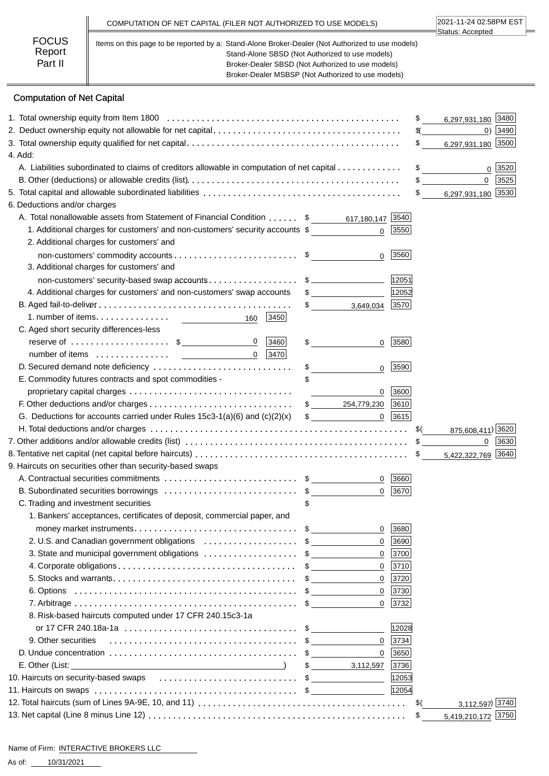|                                   | COMPUTATION OF NET CAPITAL (FILER NOT AUTHORIZED TO USE MODELS)                                                                                                                                                                                                | 2021-11-24 02:58PM EST<br>Status: Accepted |
|-----------------------------------|----------------------------------------------------------------------------------------------------------------------------------------------------------------------------------------------------------------------------------------------------------------|--------------------------------------------|
| <b>FOCUS</b><br>Report<br>Part II | Items on this page to be reported by a: Stand-Alone Broker-Dealer (Not Authorized to use models)<br>Stand-Alone SBSD (Not Authorized to use models)<br>Broker-Dealer SBSD (Not Authorized to use models)<br>Broker-Dealer MSBSP (Not Authorized to use models) |                                            |

# Computation of Net Capital

|                                                                                                                                          |                                               |                                          | 3480<br>\$<br>6,297,931,180          |
|------------------------------------------------------------------------------------------------------------------------------------------|-----------------------------------------------|------------------------------------------|--------------------------------------|
|                                                                                                                                          |                                               | $\mathcal{L}$<br>$0)$  3490              |                                      |
|                                                                                                                                          |                                               | \$<br>6,297,931,180 3500                 |                                      |
| 4. Add:                                                                                                                                  |                                               |                                          |                                      |
| A. Liabilities subordinated to claims of creditors allowable in computation of net capital                                               |                                               | $\frac{1}{\sqrt{2}}$<br>3520<br>$\Omega$ |                                      |
|                                                                                                                                          |                                               |                                          | $\mathbf 0$<br>3525<br>$\frac{1}{2}$ |
|                                                                                                                                          |                                               |                                          | 6,297,931,180 3530<br>$\frac{1}{2}$  |
| 6. Deductions and/or charges                                                                                                             |                                               |                                          |                                      |
| A. Total nonallowable assets from Statement of Financial Condition \$ 617,180,147 3540                                                   |                                               |                                          |                                      |
| 1. Additional charges for customers' and non-customers' security accounts \$                                                             |                                               | $0$ 3550                                 |                                      |
| 2. Additional charges for customers' and                                                                                                 |                                               |                                          |                                      |
|                                                                                                                                          | $\mathbf{0}$                                  | 3560                                     |                                      |
| 3. Additional charges for customers' and                                                                                                 |                                               |                                          |                                      |
| non-customers' security-based swap accounts\$                                                                                            |                                               | 12051                                    |                                      |
| 4. Additional charges for customers' and non-customers' swap accounts                                                                    | $\sim$                                        | 12052                                    |                                      |
|                                                                                                                                          | $\frac{1}{\sqrt{2}}$<br>3,649,034             | 3570                                     |                                      |
| 1. number of items.<br>3450<br>160                                                                                                       |                                               |                                          |                                      |
| C. Aged short security differences-less                                                                                                  |                                               |                                          |                                      |
| reserve of $\dots\dots\dots\dots\dots\dots$ \$<br>$\overline{0}$<br> 3460                                                                | $\frac{1}{2}$<br>$\overline{0}$               | 3580                                     |                                      |
| 3470 <br>$\Omega$                                                                                                                        |                                               |                                          |                                      |
| D. Secured demand note deficiency                                                                                                        | \$<br>$\overline{0}$                          | 3590                                     |                                      |
| E. Commodity futures contracts and spot commodities -                                                                                    |                                               |                                          |                                      |
|                                                                                                                                          | $\mathbf{0}$<br>the company of the company of | 3600                                     |                                      |
|                                                                                                                                          | $$ \_{}$ 254,779,230 3610                     |                                          |                                      |
| G. Deductions for accounts carried under Rules $15c3-1(a)(6)$ and $(c)(2)(x)$                                                            | $\mathfrak{S}$                                | $0 \mid 3615$                            |                                      |
|                                                                                                                                          |                                               |                                          | 875,608,411) 3620                    |
| 7. Other additions and/or allowable credits (list) $\ldots \ldots \ldots \ldots \ldots \ldots \ldots \ldots \ldots \ldots \ldots \ldots$ |                                               |                                          | 3630<br>0                            |
|                                                                                                                                          |                                               |                                          | 5,422,322,769 3640                   |
| 9. Haircuts on securities other than security-based swaps                                                                                |                                               |                                          |                                      |
|                                                                                                                                          |                                               | $0 \mid 3660$                            |                                      |
| B. Subordinated securities borrowings \$                                                                                                 | $\overline{0}$                                | 3670                                     |                                      |
| C. Trading and investment securities                                                                                                     |                                               |                                          |                                      |
| 1. Bankers' acceptances, certificates of deposit, commercial paper, and                                                                  |                                               |                                          |                                      |
| money market instruments. $\dots \dots \dots \dots \dots \dots \dots \dots \dots \dots$ \$                                               | $\mathbf{0}$                                  | 3680                                     |                                      |
| 2. U.S. and Canadian government obligations \$<br>3. State and municipal government obligations \$                                       |                                               | 0   3690<br>$0$   3700                   |                                      |
|                                                                                                                                          |                                               | 0  3710                                  |                                      |
|                                                                                                                                          | $\mathbf{0}$                                  | 3720                                     |                                      |
|                                                                                                                                          |                                               | $0$   3730                               |                                      |
|                                                                                                                                          | $\overline{0}$                                | 3732                                     |                                      |
| 8. Risk-based haircuts computed under 17 CFR 240.15c3-1a                                                                                 |                                               |                                          |                                      |
|                                                                                                                                          |                                               | 12028                                    |                                      |
| 9. Other securities                                                                                                                      |                                               | $0$ 3734                                 |                                      |
|                                                                                                                                          | $\overline{0}$                                | 3650                                     |                                      |
|                                                                                                                                          | 3,112,597 3736                                |                                          |                                      |
| 10. Haircuts on security-based swaps \$                                                                                                  |                                               | 12053                                    |                                      |
| 11. Haircuts on swaps $\dots\dots\dots\dots\dots\dots\dots\dots\dots\dots\dots\dots$ \$_______________________________                   |                                               | 12054                                    |                                      |
|                                                                                                                                          |                                               |                                          | 3,112,597) 3740<br>\$(               |
|                                                                                                                                          |                                               |                                          | \$<br>5,419,210,172 3750             |
|                                                                                                                                          |                                               |                                          |                                      |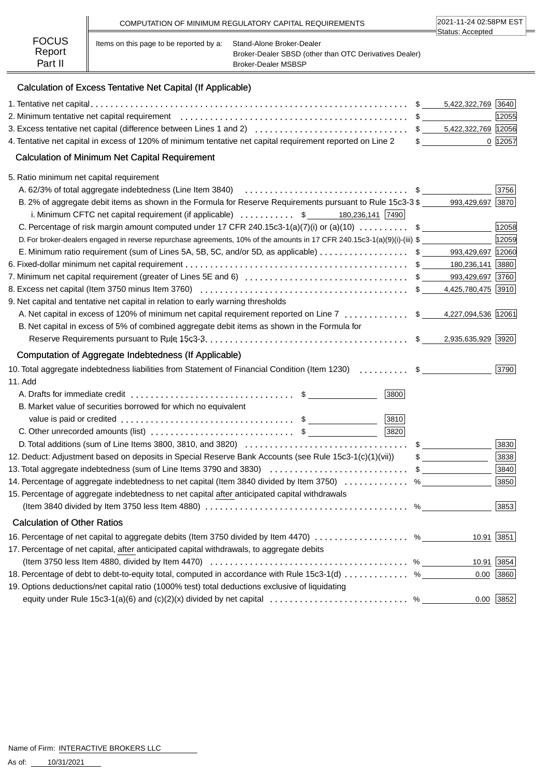|                        |                                         | COMPUTATION OF MINIMUM REGULATORY CAPITAL REQUIREMENTS                              | 2021-11-24 02:58PM EST |  |
|------------------------|-----------------------------------------|-------------------------------------------------------------------------------------|------------------------|--|
| <b>FOCUS</b><br>Report | Items on this page to be reported by a: | Stand-Alone Broker-Dealer<br>Broker-Dealer SBSD (other than OTC Derivatives Dealer) | ∃Status: Accepted      |  |
| Part II                |                                         | <b>Broker-Dealer MSBSP</b>                                                          |                        |  |

# Calculation of Excess Tentative Net Capital (If Applicable)

|                                                                                                                                                                                                                                         |   | 5,422,322,769 3640 |             |
|-----------------------------------------------------------------------------------------------------------------------------------------------------------------------------------------------------------------------------------------|---|--------------------|-------------|
|                                                                                                                                                                                                                                         |   |                    | 12055       |
|                                                                                                                                                                                                                                         |   |                    |             |
| 4. Tentative net capital in excess of 120% of minimum tentative net capital requirement reported on Line 2                                                                                                                              |   | $\frac{1}{2}$      | 0  12057    |
| <b>Calculation of Minimum Net Capital Requirement</b>                                                                                                                                                                                   |   |                    |             |
| 5. Ratio minimum net capital requirement                                                                                                                                                                                                |   |                    |             |
| A. 62/3% of total aggregate indebtedness (Line Item 3840) <i>[all contentation contents in the series</i> of total aggregate indebtedness (Line Item 3840) <i>[all contents in the series</i> of the series of the series of the series |   |                    | 3756        |
| B. 2% of aggregate debit items as shown in the Formula for Reserve Requirements pursuant to Rule 15c3-3 \$<br>i. Minimum CFTC net capital requirement (if applicable) $\ldots \ldots \ldots$ \$ 180,236,141 [7490]                      |   | 993,429,697 3870   |             |
| C. Percentage of risk margin amount computed under 17 CFR 240.15c3-1(a)(7)(i) or (a)(10)  \$                                                                                                                                            |   |                    | 12058       |
| D. For broker-dealers engaged in reverse repurchase agreements, 10% of the amounts in 17 CFR 240.15c3-1(a)(9)(i)-(iii) \$                                                                                                               |   |                    | 12059       |
| E. Minimum ratio requirement (sum of Lines 5A, 5B, 5C, and/or 5D, as applicable) \$ ______ 993,429,697  12060                                                                                                                           |   |                    |             |
|                                                                                                                                                                                                                                         |   |                    |             |
|                                                                                                                                                                                                                                         |   |                    |             |
|                                                                                                                                                                                                                                         |   |                    |             |
| 9. Net capital and tentative net capital in relation to early warning thresholds                                                                                                                                                        |   |                    |             |
| A. Net capital in excess of 120% of minimum net capital requirement reported on Line 7  \$ 4,227,094,536 12061                                                                                                                          |   |                    |             |
| B. Net capital in excess of 5% of combined aggregate debit items as shown in the Formula for                                                                                                                                            |   |                    |             |
|                                                                                                                                                                                                                                         |   |                    |             |
| Computation of Aggregate Indebtedness (If Applicable)                                                                                                                                                                                   |   |                    |             |
| 10. Total aggregate indebtedness liabilities from Statement of Financial Condition (Item 1230)  \$                                                                                                                                      |   |                    | 3790        |
| 11. Add                                                                                                                                                                                                                                 |   |                    |             |
| A. Drafts for immediate credit $\ldots \ldots \ldots \ldots \ldots \ldots \ldots \ldots \ldots$ \$<br>3800                                                                                                                              |   |                    |             |
| B. Market value of securities borrowed for which no equivalent                                                                                                                                                                          |   |                    |             |
| 3810                                                                                                                                                                                                                                    |   |                    |             |
| 3820                                                                                                                                                                                                                                    |   |                    |             |
|                                                                                                                                                                                                                                         |   | $\sim$             | 3830        |
| 12. Deduct: Adjustment based on deposits in Special Reserve Bank Accounts (see Rule 15c3-1(c)(1)(vii))                                                                                                                                  |   | $\sim$             | 3838        |
|                                                                                                                                                                                                                                         |   |                    | 3840        |
| 14. Percentage of aggregate indebtedness to net capital (Item 3840 divided by Item 3750)                                                                                                                                                |   | $\%$               | 3850        |
| 15. Percentage of aggregate indebtedness to net capital after anticipated capital withdrawals                                                                                                                                           |   |                    |             |
|                                                                                                                                                                                                                                         | % |                    | 3853        |
| <b>Calculation of Other Ratios</b>                                                                                                                                                                                                      |   |                    |             |
| 16. Percentage of net capital to aggregate debits (Item 3750 divided by Item 4470) %                                                                                                                                                    |   | $10.91$ 3851       |             |
| 17. Percentage of net capital, after anticipated capital withdrawals, to aggregate debits                                                                                                                                               |   |                    |             |
| (Item 3750 less Item 4880, divided by Item 4470) $\ldots \ldots \ldots \ldots \ldots \ldots \ldots \ldots \ldots \ldots \ldots \ldots$                                                                                                  |   |                    | 10.91 3854  |
| 18. Percentage of debt to debt-to-equity total, computed in accordance with Rule 15c3-1(d)  %                                                                                                                                           |   | 0.00               | 3860        |
| 19. Options deductions/net capital ratio (1000% test) total deductions exclusive of liquidating                                                                                                                                         |   |                    |             |
| equity under Rule 15c3-1(a)(6) and (c)(2)(x) divided by net capital  % _____                                                                                                                                                            |   |                    | $0.00$ 3852 |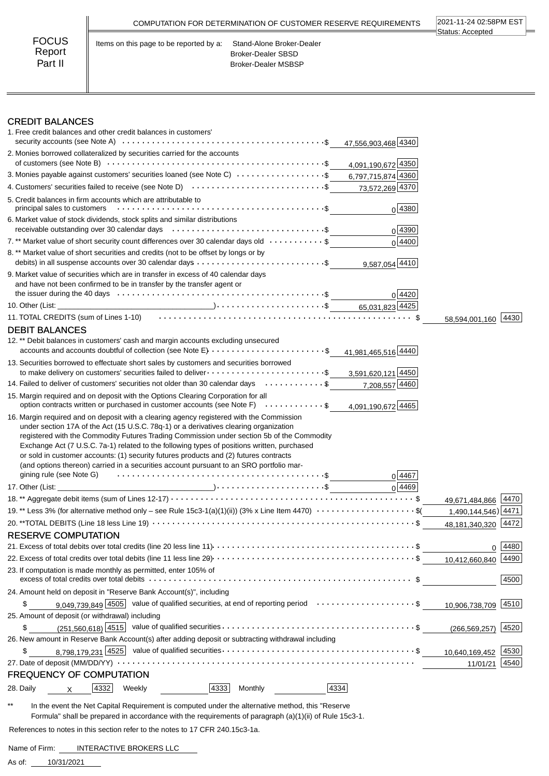|                                   | COMPUTATION FOR DETERMINATION OF CUSTOMER RESERVE REQUIREMENTS                                                    | 2021-11-24 02:58PM EST<br>Status: Accepted |
|-----------------------------------|-------------------------------------------------------------------------------------------------------------------|--------------------------------------------|
| <b>FOCUS</b><br>Report<br>Part II | Items on this page to be reported by a:<br>Stand-Alone Broker-Dealer<br>Broker-Dealer SBSD<br>Broker-Dealer MSBSP |                                            |

### CREDIT BALANCES

| 1. Free credit balances and other credit balances in customers'<br>47,556,903,468 4340                                                                                                                                                                                                                                                                                                                                                                                                                                                                                       |                     |      |
|------------------------------------------------------------------------------------------------------------------------------------------------------------------------------------------------------------------------------------------------------------------------------------------------------------------------------------------------------------------------------------------------------------------------------------------------------------------------------------------------------------------------------------------------------------------------------|---------------------|------|
| 2. Monies borrowed collateralized by securities carried for the accounts                                                                                                                                                                                                                                                                                                                                                                                                                                                                                                     |                     |      |
| 4,091,190,672 4350                                                                                                                                                                                                                                                                                                                                                                                                                                                                                                                                                           |                     |      |
| 3. Monies payable against customers' securities loaned (see Note C) $\cdots \cdots \cdots \cdots \cdots$ \$6,797,715,874 4360                                                                                                                                                                                                                                                                                                                                                                                                                                                |                     |      |
| 4. Customers' securities failed to receive (see Note D) $\cdots$ \$<br>73,572,269 4370                                                                                                                                                                                                                                                                                                                                                                                                                                                                                       |                     |      |
| 5. Credit balances in firm accounts which are attributable to<br>$0$ 4380                                                                                                                                                                                                                                                                                                                                                                                                                                                                                                    |                     |      |
| 6. Market value of stock dividends, stock splits and similar distributions<br>0 4390                                                                                                                                                                                                                                                                                                                                                                                                                                                                                         |                     |      |
| 7.** Market value of short security count differences over 30 calendar days old $\dots\dots\dots\dots$<br>$0\sqrt{4400}$                                                                                                                                                                                                                                                                                                                                                                                                                                                     |                     |      |
| 8. ** Market value of short securities and credits (not to be offset by longs or by<br>debits) in all suspense accounts over 30 calendar days \$<br>9,587,054 4410                                                                                                                                                                                                                                                                                                                                                                                                           |                     |      |
| 9. Market value of securities which are in transfer in excess of 40 calendar days<br>and have not been confirmed to be in transfer by the transfer agent or<br>0 4420                                                                                                                                                                                                                                                                                                                                                                                                        |                     |      |
|                                                                                                                                                                                                                                                                                                                                                                                                                                                                                                                                                                              |                     |      |
| 11. TOTAL CREDITS (sum of Lines 1-10) (and the content of the content of the state of the state of the state o                                                                                                                                                                                                                                                                                                                                                                                                                                                               | 58,594,001,160      | 4430 |
| <b>DEBIT BALANCES</b><br>12. ** Debit balances in customers' cash and margin accounts excluding unsecured<br>accounts and accounts doubtful of collection (see Note E) $\dots \dots \dots \dots \dots \dots \dots \dots$<br>41,981,465,516 4440                                                                                                                                                                                                                                                                                                                              |                     |      |
| 13. Securities borrowed to effectuate short sales by customers and securities borrowed<br>to make delivery on customers' securities failed to deliver $\cdots \cdots \cdots \cdots \cdots \cdots$<br>3,591,620,121 4450                                                                                                                                                                                                                                                                                                                                                      |                     |      |
| 14. Failed to deliver of customers' securities not older than 30 calendar days \$<br>7,208,557 4460                                                                                                                                                                                                                                                                                                                                                                                                                                                                          |                     |      |
|                                                                                                                                                                                                                                                                                                                                                                                                                                                                                                                                                                              |                     |      |
| 15. Margin required and on deposit with the Options Clearing Corporation for all<br>option contracts written or purchased in customer accounts (see Note F) \$<br>4,091,190,672 4465                                                                                                                                                                                                                                                                                                                                                                                         |                     |      |
| 16. Margin required and on deposit with a clearing agency registered with the Commission<br>under section 17A of the Act (15 U.S.C. 78q-1) or a derivatives clearing organization<br>registered with the Commodity Futures Trading Commission under section 5b of the Commodity<br>Exchange Act (7 U.S.C. 7a-1) related to the following types of positions written, purchased<br>or sold in customer accounts: (1) security futures products and (2) futures contracts<br>(and options thereon) carried in a securities account pursuant to an SRO portfolio mar-<br>0 4467 |                     |      |
| 0 4469                                                                                                                                                                                                                                                                                                                                                                                                                                                                                                                                                                       |                     |      |
|                                                                                                                                                                                                                                                                                                                                                                                                                                                                                                                                                                              | 49,671,484,866 4470 |      |
| 19.** Less 3% (for alternative method only - see Rule 15c3-1(a)(1)(ii)) (3% x Line Item 4470) $\cdots$ \$(                                                                                                                                                                                                                                                                                                                                                                                                                                                                   | 1,490,144,546) 4471 |      |
|                                                                                                                                                                                                                                                                                                                                                                                                                                                                                                                                                                              | 48.181.340.320      | 4472 |
| <b>RESERVE COMPUTATION</b>                                                                                                                                                                                                                                                                                                                                                                                                                                                                                                                                                   |                     |      |
|                                                                                                                                                                                                                                                                                                                                                                                                                                                                                                                                                                              | 0                   | 4480 |
|                                                                                                                                                                                                                                                                                                                                                                                                                                                                                                                                                                              | 10,412,660,840      | 4490 |
| 23. If computation is made monthly as permitted, enter 105% of                                                                                                                                                                                                                                                                                                                                                                                                                                                                                                               |                     | 4500 |
| 24. Amount held on deposit in "Reserve Bank Account(s)", including                                                                                                                                                                                                                                                                                                                                                                                                                                                                                                           |                     |      |
| 9,049,739,849 4505 value of qualified securities, at end of reporting period \$<br>\$                                                                                                                                                                                                                                                                                                                                                                                                                                                                                        | 10,906,738,709 4510 |      |
| 25. Amount of deposit (or withdrawal) including                                                                                                                                                                                                                                                                                                                                                                                                                                                                                                                              |                     |      |
| \$                                                                                                                                                                                                                                                                                                                                                                                                                                                                                                                                                                           | (266, 569, 257)     | 4520 |
| 26. New amount in Reserve Bank Account(s) after adding deposit or subtracting withdrawal including                                                                                                                                                                                                                                                                                                                                                                                                                                                                           |                     |      |
| \$                                                                                                                                                                                                                                                                                                                                                                                                                                                                                                                                                                           | 10,640,169,452      | 4530 |
|                                                                                                                                                                                                                                                                                                                                                                                                                                                                                                                                                                              | 11/01/21            | 4540 |
| <b>FREQUENCY OF COMPUTATION</b><br>4334<br>4332<br>4333<br>28. Daily<br>Weekly<br>Monthly                                                                                                                                                                                                                                                                                                                                                                                                                                                                                    |                     |      |

\*\* In the event the Net Capital Requirement is computed under the alternative method, this "Reserve Formula" shall be prepared in accordance with the requirements of paragraph (a)(1)(ii) of Rule 15c3-1.

 $\overline{\phantom{a}}$ 

References to notes in this section refer to the notes to 17 CFR 240.15c3-1a.

Name of Firm: INTERACTIVE BROKERS LLC

10/31/2021 As of: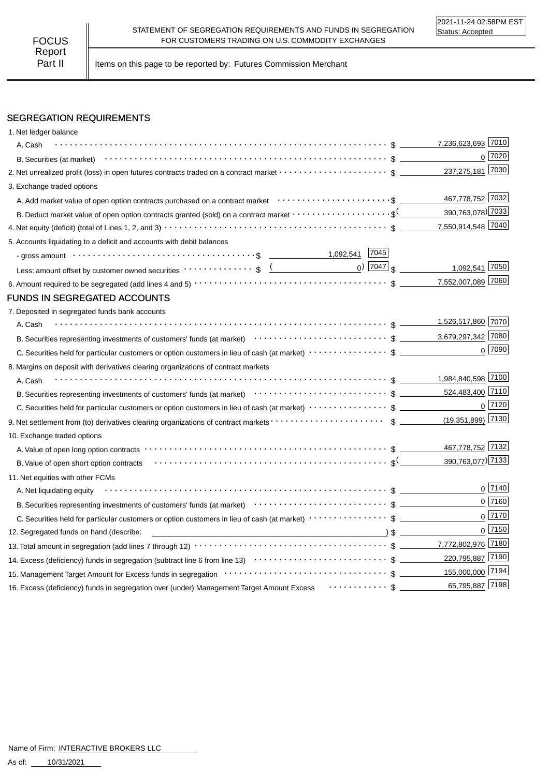Part II | Items on this page to be reported by: Futures Commission Merchant

### SEGREGATION REQUIREMENTS

| 1. Net ledger balance                                                                                                                                                                                                                                         |                                            |
|---------------------------------------------------------------------------------------------------------------------------------------------------------------------------------------------------------------------------------------------------------------|--------------------------------------------|
| A. Cash                                                                                                                                                                                                                                                       | 7,236,623,693 7010                         |
|                                                                                                                                                                                                                                                               | 0 7020                                     |
|                                                                                                                                                                                                                                                               | 237,275,181 7030                           |
| 3. Exchange traded options                                                                                                                                                                                                                                    |                                            |
|                                                                                                                                                                                                                                                               | 467,778,752 7032                           |
| B. Deduct market value of open option contracts granted (sold) on a contract market $\cdots\cdots\cdots\cdots\cdots\cdots$                                                                                                                                    | 390,763,078) 7033                          |
|                                                                                                                                                                                                                                                               | 7,550,914,548 7040                         |
| 5. Accounts liquidating to a deficit and accounts with debit balances                                                                                                                                                                                         |                                            |
| - gross amount \bit \control\control\control\control\control\control\control\control\control\control\control\control\control\control\control\control\control\control\control\control\control\control\control\control\control\c                                |                                            |
| Less: amount offset by customer owned securities volto contract to set of the contract of the contract of the contract of the contract of the contract of the contract of the contract of the contract of the contract of the                                 | $_0$ ) $\boxed{7047}$ \$<br>1,092,541 7050 |
|                                                                                                                                                                                                                                                               | 7,552,007,089 7060                         |
| FUNDS IN SEGREGATED ACCOUNTS                                                                                                                                                                                                                                  |                                            |
| 7. Deposited in segregated funds bank accounts                                                                                                                                                                                                                |                                            |
| A. Cash                                                                                                                                                                                                                                                       | 1,526,517,860 7070                         |
|                                                                                                                                                                                                                                                               |                                            |
|                                                                                                                                                                                                                                                               | $0$ 7090                                   |
| 8. Margins on deposit with derivatives clearing organizations of contract markets                                                                                                                                                                             |                                            |
| A. Cash                                                                                                                                                                                                                                                       |                                            |
|                                                                                                                                                                                                                                                               | 524,483,400 7110                           |
|                                                                                                                                                                                                                                                               | $0$ 7120                                   |
|                                                                                                                                                                                                                                                               | $(19,351,899)$ 7130                        |
| 10. Exchange traded options                                                                                                                                                                                                                                   |                                            |
|                                                                                                                                                                                                                                                               | 467,778,752 7132                           |
|                                                                                                                                                                                                                                                               | 390,763,077) 7133                          |
| 11. Net equities with other FCMs                                                                                                                                                                                                                              |                                            |
| A. Net liquidating equity                                                                                                                                                                                                                                     | $0^{7140}$                                 |
| B. Securities representing investments of customers' funds (at market)<br>$\cdots$ $\cdots$ $\cdots$ $\cdots$ $\cdots$ $\cdots$ $\cdots$ $\cdots$ $\cdots$ $\cdots$ $\cdots$ $\cdots$ $\cdots$ $\cdots$ $\cdots$ $\cdots$ $\cdots$ $\cdots$ $\cdots$ $\cdots$ | $0$ 7160                                   |
|                                                                                                                                                                                                                                                               | $0$ 7170                                   |
| 12. Segregated funds on hand (describe:                                                                                                                                                                                                                       | $0$ 7150                                   |
|                                                                                                                                                                                                                                                               |                                            |
|                                                                                                                                                                                                                                                               | 220,795,887 7190                           |
| 155,000,000 7194                                                                                                                                                                                                                                              |                                            |
| 16. Excess (deficiency) funds in segregation over (under) Management Target Amount Excess $\cdots \cdots \cdots$ \$ $\perp$                                                                                                                                   | 65,795,887 7198                            |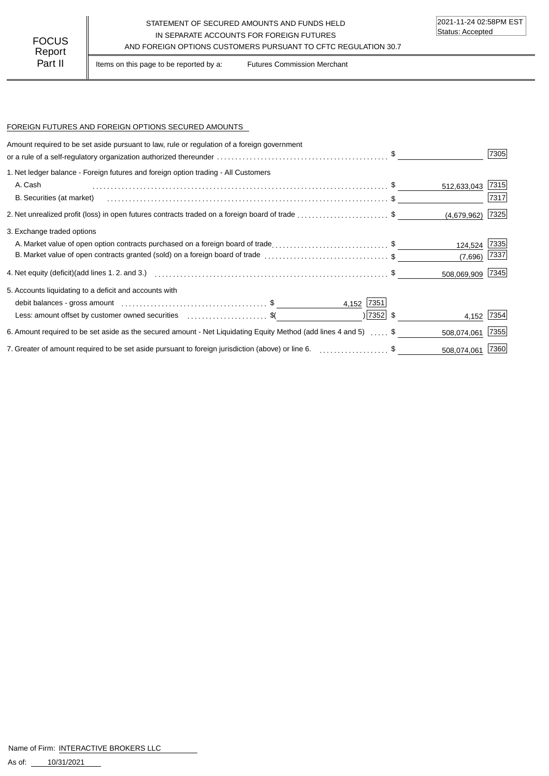#### STATEMENT OF SECURED AMOUNTS AND FUNDS HELD IN SEPARATE ACCOUNTS FOR FOREIGN FUTURES FOCUS IN SEPARATE ACCOUNTS FOR FOREIGN FUTURES<br>Report

Part II | Items on this page to be reported by a: Futures Commission Merchant

#### FOREIGN FUTURES AND FOREIGN OPTIONS SECURED AMOUNTS

| Amount required to be set aside pursuant to law, rule or regulation of a foreign government<br>or a rule of a self-regulatory organization authorized thereunder $\ldots\ldots\ldots\ldots\ldots\ldots\ldots\ldots\ldots\ldots\ldots\ldots\quad$ \$ ___ |             |                  | 7305 |
|---------------------------------------------------------------------------------------------------------------------------------------------------------------------------------------------------------------------------------------------------------|-------------|------------------|------|
| 1. Net ledger balance - Foreign futures and foreign option trading - All Customers                                                                                                                                                                      |             |                  |      |
| A. Cash                                                                                                                                                                                                                                                 |             | 512,633,043      | 7315 |
| B. Securities (at market)                                                                                                                                                                                                                               |             |                  | 7317 |
|                                                                                                                                                                                                                                                         |             | (4,679,962)      | 7325 |
| 3. Exchange traded options                                                                                                                                                                                                                              |             |                  |      |
| A. Market value of open option contracts purchased on a foreign board of trade\$                                                                                                                                                                        |             | 124,524          | 7335 |
| B. Market value of open contracts granted (sold) on a foreign board of trade \$                                                                                                                                                                         |             | (7,696)          | 7337 |
|                                                                                                                                                                                                                                                         |             | 508,069,909 7345 |      |
| 5. Accounts liquidating to a deficit and accounts with                                                                                                                                                                                                  |             |                  |      |
| 4,152 7351                                                                                                                                                                                                                                              |             |                  |      |
| Less: amount offset by customer owned securities \$                                                                                                                                                                                                     | $ 7352 $ \$ | 4,152            | 7354 |
| 6. Amount required to be set aside as the secured amount - Net Liquidating Equity Method (add lines 4 and 5)  \$                                                                                                                                        |             | 508,074,061      | 7355 |
| 7. Greater of amount required to be set aside pursuant to foreign jurisdiction (above) or line 6. [1, 1, 2, 2, 2, 2, 2, 3, 5]                                                                                                                           |             | 508,074,061      | 7360 |